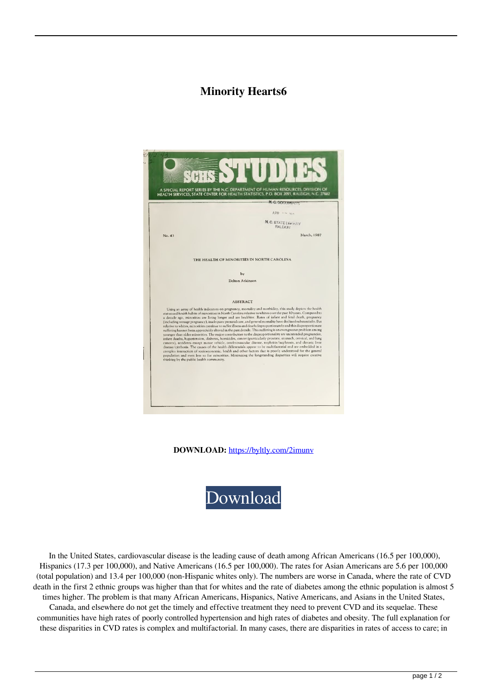## **Minority Hearts6**



**DOWNLOAD:** <https://byltly.com/2imunv>



 In the United States, cardiovascular disease is the leading cause of death among African Americans (16.5 per 100,000), Hispanics (17.3 per 100,000), and Native Americans (16.5 per 100,000). The rates for Asian Americans are 5.6 per 100,000 (total population) and 13.4 per 100,000 (non-Hispanic whites only). The numbers are worse in Canada, where the rate of CVD death in the first 2 ethnic groups was higher than that for whites and the rate of diabetes among the ethnic population is almost 5 times higher. The problem is that many African Americans, Hispanics, Native Americans, and Asians in the United States, Canada, and elsewhere do not get the timely and effective treatment they need to prevent CVD and its sequelae. These communities have high rates of poorly controlled hypertension and high rates of diabetes and obesity. The full explanation for these disparities in CVD rates is complex and multifactorial. In many cases, there are disparities in rates of access to care; in